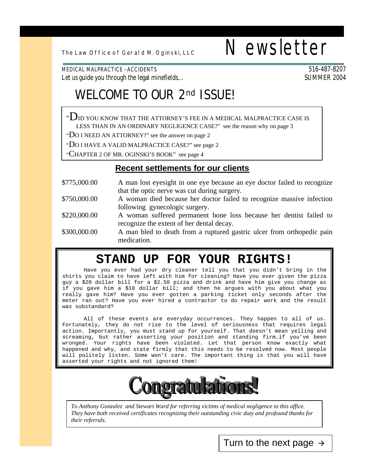# The Law Office of Geral d M. Oginski, LLC  $\blacksquare$  Newsletter

MEDICAL MALPRACTICE –ACCIDENTS 516-487-8207 Let us guide you through the legal minefields…

## **WELCOME TO OUR 2nd ISSUE!**

" $D$  id you know that the attorney's fee in a medical malpractice case is LESS THAN IN AN ORDINARY NEGLIGENCE CASE?" see the reason why on page 3

"DO I NEED AN ATTORNEY?" see the answer on page 2

"DO I HAVE A VALID MALPRACTICE CASE?" see page 2

"CHAPTER 2 OF MR. OGINSKI'S BOOK" see page 4

#### **Recent settlements for our clients**

| \$775,000.00 | A man lost eyesight in one eye because an eye doctor failed to recognize |
|--------------|--------------------------------------------------------------------------|
|              | that the optic nerve was cut during surgery.                             |
| \$750,000.00 | A woman died because her doctor failed to recognize massive infection    |
|              | following gynecologic surgery.                                           |
| \$220,000.00 | A woman suffered permanent bone loss because her dentist failed to       |
|              | recognize the extent of her dental decay.                                |
| \$300,000.00 | A man bled to death from a ruptured gastric ulcer from orthopedic pain   |
|              | medication.                                                              |

#### **STAND UP FOR YOUR RIGHTS!**

Have you ever had your dry cleaner tell you that you didn't bring in the shirts you claim to have left with him for cleaning? Have you ever given the pizza guy a \$20 dollar bill for a \$2.50 pizza and drink and have him give you change as if you gave him a \$10 dollar bill; and then he argues with you about what you really gave him? Have you ever gotten a parking ticket only seconds after the meter ran out? Have you ever hired a contractor to do repair work and the result was substandard?

All of these events are everyday occurrences. They happen to all of us. Fortunately, they do not rise to the level of seriousness that requires legal action. Importantly, you must stand up for yourself. That doesn't mean yelling and screaming, but rather asserting your position and standing firm…if you've been wronged. Your rights have been violated. Let that person know exactly what happened and why, and state firmly that this needs to be resolved now. Most people will politely listen. Some won't care. The important thing is that you will have asserted your rights and not ignored them!



*To Anthony Gonzalez and Stewart Ward for referring victims of medical negligence to this office. They have both received certificates recognizing their outstanding civic duty and profound thanks for their referrals.*

Turn to the next page  $\rightarrow$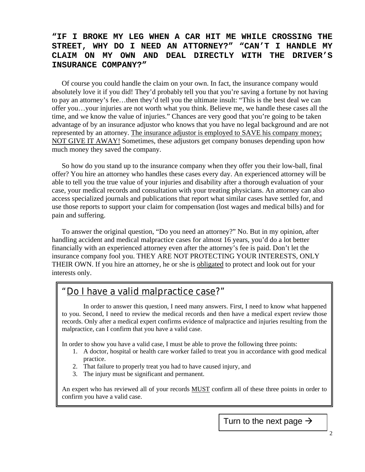#### **"IF I BROKE MY LEG WHEN A CAR HIT ME WHILE CROSSING THE STREET, WHY DO I NEED AN ATTORNEY?" "CAN'T I HANDLE MY CLAIM ON MY OWN AND DEAL DIRECTLY WITH THE DRIVER'S INSURANCE COMPANY?"**

Of course you could handle the claim on your own. In fact, the insurance company would absolutely love it if you did! They'd probably tell you that you're saving a fortune by not having to pay an attorney's fee…then they'd tell you the ultimate insult: "This is the best deal we can offer you…your injuries are not worth what you think. Believe me, we handle these cases all the time, and we know the value of injuries." Chances are very good that you're going to be taken advantage of by an insurance adjustor who knows that you have no legal background and are not represented by an attorney. The insurance adjustor is employed to SAVE his company money; NOT GIVE IT AWAY! Sometimes, these adjustors get company bonuses depending upon how much money they saved the company.

So how do you stand up to the insurance company when they offer you their low-ball, final offer? You hire an attorney who handles these cases every day. An experienced attorney will be able to tell you the true value of your injuries and disability after a thorough evaluation of your case, your medical records and consultation with your treating physicians. An attorney can also access specialized journals and publications that report what similar cases have settled for, and use those reports to support your claim for compensation (lost wages and medical bills) and for pain and suffering.

To answer the original question, "Do you need an attorney?" No. But in my opinion, after handling accident and medical malpractice cases for almost 16 years, you'd do a lot better financially with an experienced attorney even after the attorney's fee is paid. Don't let the insurance company fool you. THEY ARE NOT PROTECTING YOUR INTERESTS, ONLY THEIR OWN. If you hire an attorney, he or she is obligated to protect and look out for your interests only.

#### Do I have a valid malpractice case?"

In order to answer this question, I need many answers. First, I need to know what happened to you. Second, I need to review the medical records and then have a medical expert review those records. Only after a medical expert confirms evidence of malpractice and injuries resulting from the malpractice, can I confirm that you have a valid case.

In order to show you have a valid case, I must be able to prove the following three points:

- 1. A doctor, hospital or health care worker failed to treat you in accordance with good medical practice.
- 2. That failure to properly treat you had to have caused injury, and
- 3. The injury must be significant and permanent.

An expert who has reviewed all of your records **MUST** confirm all of these three points in order to confirm you have a valid case.

Turn to the next page  $\rightarrow$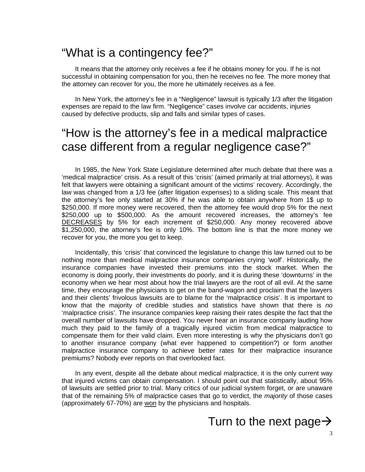### "What is a contingency fee?"

It means that the attorney only receives a fee if he obtains money for you. If he is not successful in obtaining compensation for you, then he receives no fee. The more money that the attorney can recover for you, the more he ultimately receives as a fee.

In New York, the attorney's fee in a "Negligence" lawsuit is typically 1/3 after the litigation expenses are repaid to the law firm. "Negligence" cases involve car accidents, injuries caused by defective products, slip and falls and similar types of cases.

## "How is the attorney's fee in a medical malpractice case different from a regular negligence case?"

In 1985, the New York State Legislature determined after much debate that there was a 'medical malpractice' crisis. As a result of this 'crisis' (aimed primarily at trial attorneys), it was felt that lawyers were obtaining a significant amount of the victims' recovery. Accordingly, the law was changed from a 1/3 fee (after litigation expenses) to a sliding scale. This meant that the attorney's fee only started at 30% if he was able to obtain anywhere from 1\$ up to \$250,000. If more money were recovered, then the attorney fee would drop 5% for the next \$250,000 up to \$500,000. As the amount recovered increases, the attorney's fee DECREASES by 5% for each increment of \$250,000. Any money recovered above \$1,250,000, the attorney's fee is only 10%. The bottom line is that the more money we recover for you, the more you get to keep.

Incidentally, this 'crisis' that convinced the legislature to change this law turned out to be nothing more than medical malpractice insurance companies crying 'wolf'. Historically, the insurance companies have invested their premiums into the stock market. When the economy is doing poorly, their investments do poorly, and it is during these 'downturns' in the economy when we hear most about how the trial lawyers are the root of all evil. At the same time, they encourage the physicians to get on the band-wagon and proclaim that the lawyers and their clients' frivolous lawsuits are to blame for the 'malpractice crisis'. It is important to know that the majority of credible studies and statistics have shown that there is *no* 'malpractice crisis'. The insurance companies keep raising their rates despite the fact that the overall number of lawsuits have dropped. You never hear an insurance company lauding how much they paid to the family of a tragically injured victim from medical malpractice to compensate them for their valid claim. Even more interesting is why the physicians don't go to another insurance company (what ever happened to competition?) or form another malpractice insurance company to achieve better rates for their malpractice insurance premiums? Nobody ever reports on that overlooked fact.

In any event, despite all the debate about medical malpractice, it is the only current way that injured victims can obtain compensation. I should point out that statistically, about 95% of lawsuits are settled prior to trial. Many critics of our judicial system forget, or are unaware that of the remaining 5% of malpractice cases that go to verdict, the *majority* of those cases (approximately 67-70%) are won by the physicians and hospitals.

### Turn to the next page $\rightarrow$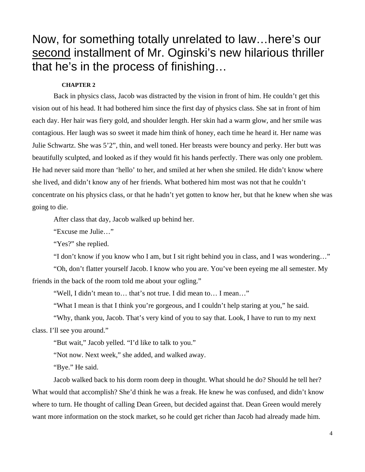## Now, for something totally unrelated to law…here's our second installment of Mr. Oginski's new hilarious thriller that he's in the process of finishing…

#### **CHAPTER 2**

Back in physics class, Jacob was distracted by the vision in front of him. He couldn't get this vision out of his head. It had bothered him since the first day of physics class. She sat in front of him each day. Her hair was fiery gold, and shoulder length. Her skin had a warm glow, and her smile was contagious. Her laugh was so sweet it made him think of honey, each time he heard it. Her name was Julie Schwartz. She was 5'2", thin, and well toned. Her breasts were bouncy and perky. Her butt was beautifully sculpted, and looked as if they would fit his hands perfectly. There was only one problem. He had never said more than 'hello' to her, and smiled at her when she smiled. He didn't know where she lived, and didn't know any of her friends. What bothered him most was not that he couldn't concentrate on his physics class, or that he hadn't yet gotten to know her, but that he knew when she was going to die.

After class that day, Jacob walked up behind her.

"Excuse me Julie…"

"Yes?" she replied.

"I don't know if you know who I am, but I sit right behind you in class, and I was wondering…"

"Oh, don't flatter yourself Jacob. I know who you are. You've been eyeing me all semester. My friends in the back of the room told me about your ogling."

"Well, I didn't mean to… that's not true. I did mean to… I mean…"

"What I mean is that I think you're gorgeous, and I couldn't help staring at you," he said.

"Why, thank you, Jacob. That's very kind of you to say that. Look, I have to run to my next class. I'll see you around."

"But wait," Jacob yelled. "I'd like to talk to you."

"Not now. Next week," she added, and walked away.

"Bye." He said.

Jacob walked back to his dorm room deep in thought. What should he do? Should he tell her? What would that accomplish? She'd think he was a freak. He knew he was confused, and didn't know where to turn. He thought of calling Dean Green, but decided against that. Dean Green would merely want more information on the stock market, so he could get richer than Jacob had already made him.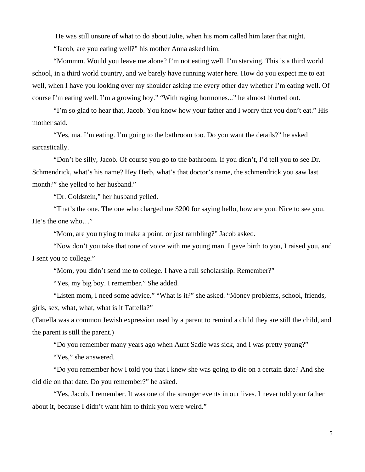He was still unsure of what to do about Julie, when his mom called him later that night. "Jacob, are you eating well?" his mother Anna asked him.

"Mommm. Would you leave me alone? I'm not eating well. I'm starving. This is a third world school, in a third world country, and we barely have running water here. How do you expect me to eat well, when I have you looking over my shoulder asking me every other day whether I'm eating well. Of course I'm eating well. I'm a growing boy." "With raging hormones..." he almost blurted out.

"I'm so glad to hear that, Jacob. You know how your father and I worry that you don't eat." His mother said.

"Yes, ma. I'm eating. I'm going to the bathroom too. Do you want the details?" he asked sarcastically.

"Don't be silly, Jacob. Of course you go to the bathroom. If you didn't, I'd tell you to see Dr. Schmendrick, what's his name? Hey Herb, what's that doctor's name, the schmendrick you saw last month?" she yelled to her husband."

"Dr. Goldstein," her husband yelled.

"That's the one. The one who charged me \$200 for saying hello, how are you. Nice to see you. He's the one who…"

"Mom, are you trying to make a point, or just rambling?" Jacob asked.

"Now don't you take that tone of voice with me young man. I gave birth to you, I raised you, and I sent you to college."

"Mom, you didn't send me to college. I have a full scholarship. Remember?"

"Yes, my big boy. I remember." She added.

"Listen mom, I need some advice." "What is it?" she asked. "Money problems, school, friends, girls, sex, what, what, what is it Tattella?"

(Tattella was a common Jewish expression used by a parent to remind a child they are still the child, and the parent is still the parent.)

"Do you remember many years ago when Aunt Sadie was sick, and I was pretty young?"

"Yes," she answered.

"Do you remember how I told you that I knew she was going to die on a certain date? And she did die on that date. Do you remember?" he asked.

"Yes, Jacob. I remember. It was one of the stranger events in our lives. I never told your father about it, because I didn't want him to think you were weird."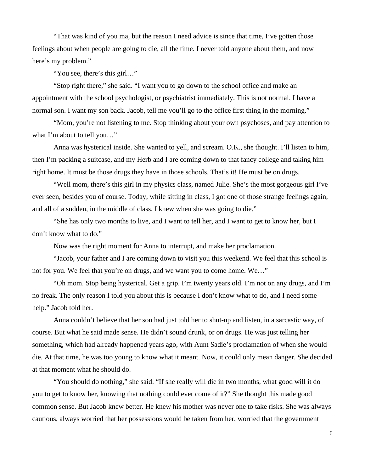"That was kind of you ma, but the reason I need advice is since that time, I've gotten those feelings about when people are going to die, all the time. I never told anyone about them, and now here's my problem."

"You see, there's this girl…"

"Stop right there," she said. "I want you to go down to the school office and make an appointment with the school psychologist, or psychiatrist immediately. This is not normal. I have a normal son. I want my son back. Jacob, tell me you'll go to the office first thing in the morning."

"Mom, you're not listening to me. Stop thinking about your own psychoses, and pay attention to what I'm about to tell you…"

Anna was hysterical inside. She wanted to yell, and scream. O.K., she thought. I'll listen to him, then I'm packing a suitcase, and my Herb and I are coming down to that fancy college and taking him right home. It must be those drugs they have in those schools. That's it! He must be on drugs.

"Well mom, there's this girl in my physics class, named Julie. She's the most gorgeous girl I've ever seen, besides you of course. Today, while sitting in class, I got one of those strange feelings again, and all of a sudden, in the middle of class, I knew when she was going to die."

"She has only two months to live, and I want to tell her, and I want to get to know her, but I don't know what to do."

Now was the right moment for Anna to interrupt, and make her proclamation.

"Jacob, your father and I are coming down to visit you this weekend. We feel that this school is not for you. We feel that you're on drugs, and we want you to come home. We…"

"Oh mom. Stop being hysterical. Get a grip. I'm twenty years old. I'm not on any drugs, and I'm no freak. The only reason I told you about this is because I don't know what to do, and I need some help." Jacob told her.

Anna couldn't believe that her son had just told her to shut-up and listen, in a sarcastic way, of course. But what he said made sense. He didn't sound drunk, or on drugs. He was just telling her something, which had already happened years ago, with Aunt Sadie's proclamation of when she would die. At that time, he was too young to know what it meant. Now, it could only mean danger. She decided at that moment what he should do.

"You should do nothing," she said. "If she really will die in two months, what good will it do you to get to know her, knowing that nothing could ever come of it?" She thought this made good common sense. But Jacob knew better. He knew his mother was never one to take risks. She was always cautious, always worried that her possessions would be taken from her, worried that the government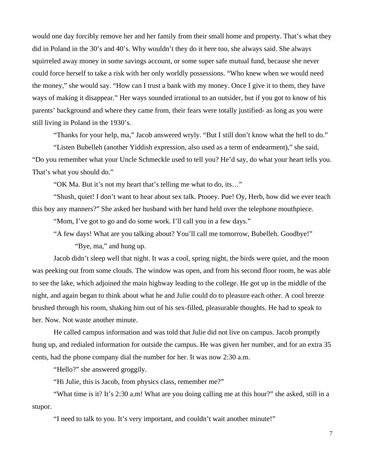would one day forcibly remove her and her family from their small home and property. That's what they did in Poland in the 30's and 40's. Why wouldn't they do it here too, she always said. She always squirreled away money in some savings account, or some super safe mutual fund, because she never could force herself to take a risk with her only worldly possessions. "Who knew when we would need the money," she would say. "How can I trust a bank with my money. Once I give it to them, they have ways of making it disappear." Her ways sounded irrational to an outsider, but if you got to know of his parents' background and where they came from, their fears were totally justified- as long as you were still living in Poland in the 1930's.

"Thanks for your help, ma," Jacob answered wryly. "But I still don't know what the hell to do."

"Listen Bubelleh (another Yiddish expression, also used as a term of endearment)," she said, "Do you remember what your Uncle Schmeckle used to tell you? He'd say, do what your heart tells you. That's what you should do."

"OK Ma. But it's not my heart that's telling me what to do, its…"

"Shush, quiet! I don't want to hear about sex talk. Ptooey. Pue! Oy, Herb, how did we ever teach this boy any manners?" She asked her husband with her hand held over the telephone mouthpiece.

"Mom, I've got to go and do some work. I'll call you in a few days."

"A few days! What are you talking about? You'll call me tomorrow, Bubelleh. Goodbye!"

"Bye, ma," and hung up.

Jacob didn't sleep well that night. It was a cool, spring night, the birds were quiet, and the moon was peeking out from some clouds. The window was open, and from his second floor room, he was able to see the lake, which adjoined the main highway leading to the college. He got up in the middle of the night, and again began to think about what he and Julie could do to pleasure each other. A cool breeze brushed through his room, shaking him out of his sex-filled, pleasurable thoughts. He had to speak to her. Now. Not waste another minute.

He called campus information and was told that Julie did not live on campus. Jacob promptly hung up, and redialed information for outside the campus. He was given her number, and for an extra 35 cents, had the phone company dial the number for her. It was now 2:30 a.m.

"Hello?" she answered groggily.

"Hi Julie, this is Jacob, from physics class, remember me?"

"What time is it? It's 2:30 a.m! What are you doing calling me at this hour?" she asked, still in a stupor.

"I need to talk to you. It's very important, and couldn't wait another minute!"

7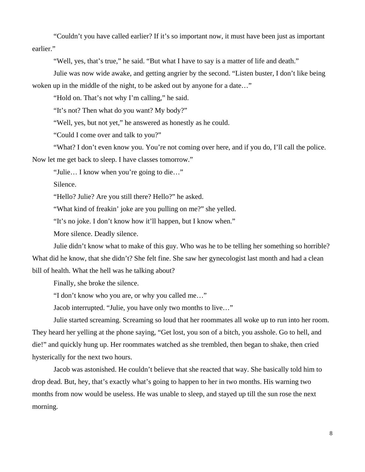"Couldn't you have called earlier? If it's so important now, it must have been just as important earlier."

"Well, yes, that's true," he said. "But what I have to say is a matter of life and death."

Julie was now wide awake, and getting angrier by the second. "Listen buster, I don't like being woken up in the middle of the night, to be asked out by anyone for a date..."

"Hold on. That's not why I'm calling," he said.

"It's not? Then what do you want? My body?"

"Well, yes, but not yet," he answered as honestly as he could.

"Could I come over and talk to you?"

"What? I don't even know you. You're not coming over here, and if you do, I'll call the police.

Now let me get back to sleep. I have classes tomorrow."

"Julie… I know when you're going to die…"

Silence.

"Hello? Julie? Are you still there? Hello?" he asked.

"What kind of freakin' joke are you pulling on me?" she yelled.

"It's no joke. I don't know how it'll happen, but I know when."

More silence. Deadly silence.

Julie didn't know what to make of this guy. Who was he to be telling her something so horrible? What did he know, that she didn't? She felt fine. She saw her gynecologist last month and had a clean bill of health. What the hell was he talking about?

Finally, she broke the silence.

"I don't know who you are, or why you called me…"

Jacob interrupted. "Julie, you have only two months to live…"

Julie started screaming. Screaming so loud that her roommates all woke up to run into her room. They heard her yelling at the phone saying, "Get lost, you son of a bitch, you asshole. Go to hell, and die!" and quickly hung up. Her roommates watched as she trembled, then began to shake, then cried hysterically for the next two hours.

Jacob was astonished. He couldn't believe that she reacted that way. She basically told him to drop dead. But, hey, that's exactly what's going to happen to her in two months. His warning two months from now would be useless. He was unable to sleep, and stayed up till the sun rose the next morning.